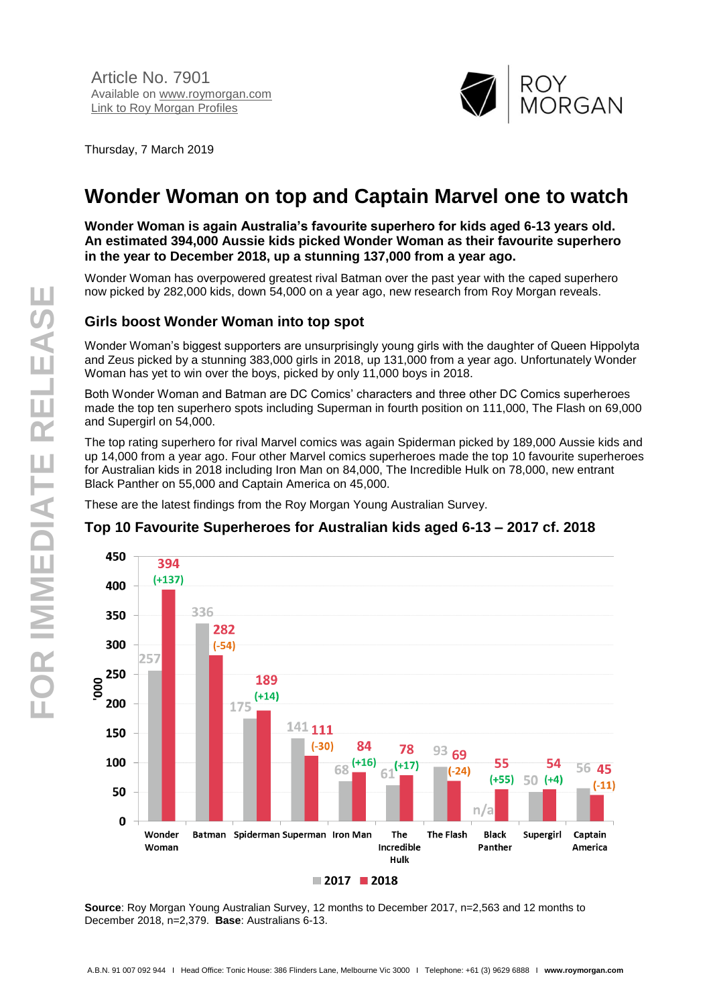

Thursday, 7 March 2019

# **Wonder Woman on top and Captain Marvel one to watch**

**Wonder Woman is again Australia's favourite superhero for kids aged 6-13 years old. An estimated 394,000 Aussie kids picked Wonder Woman as their favourite superhero in the year to December 2018, up a stunning 137,000 from a year ago.**

Wonder Woman has overpowered greatest rival Batman over the past year with the caped superhero now picked by 282,000 kids, down 54,000 on a year ago, new research from Roy Morgan reveals.

## **Girls boost Wonder Woman into top spot**

Wonder Woman's biggest supporters are unsurprisingly young girls with the daughter of Queen Hippolyta and Zeus picked by a stunning 383,000 girls in 2018, up 131,000 from a year ago. Unfortunately Wonder Woman has yet to win over the boys, picked by only 11,000 boys in 2018.

Both Wonder Woman and Batman are DC Comics' characters and three other DC Comics superheroes made the top ten superhero spots including Superman in fourth position on 111,000, The Flash on 69,000 and Supergirl on 54,000.

The top rating superhero for rival Marvel comics was again Spiderman picked by 189,000 Aussie kids and up 14,000 from a year ago. Four other Marvel comics superheroes made the top 10 favourite superheroes for Australian kids in 2018 including Iron Man on 84,000, The Incredible Hulk on 78,000, new entrant Black Panther on 55,000 and Captain America on 45,000.

These are the latest findings from the Roy Morgan Young Australian Survey.



#### **Top 10 Favourite Superheroes for Australian kids aged 6-13 – 2017 cf. 2018**

**Source**: Roy Morgan Young Australian Survey, 12 months to December 2017, n=2,563 and 12 months to December 2018, n=2,379. **Base**: Australians 6-13.